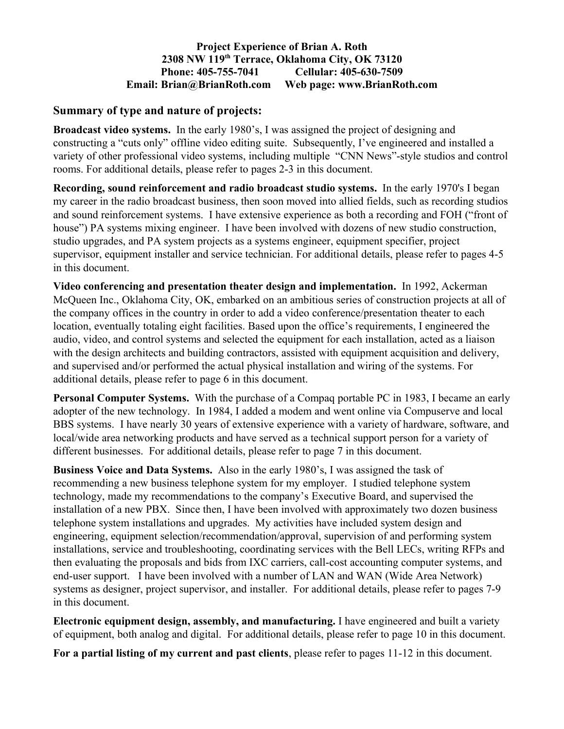#### **Project Experience of Brian A. Roth 2308 NW 119th Terrace, Oklahoma City, OK 73120 Phone: 405-755-7041 Cellular: 405-630-7509 Email: Brian@BrianRoth.com Web page: www.BrianRoth.com**

#### **Summary of type and nature of projects:**

**Broadcast video systems.** In the early 1980's, I was assigned the project of designing and constructing a "cuts only" offline video editing suite. Subsequently, I've engineered and installed a variety of other professional video systems, including multiple "CNN News"-style studios and control rooms. For additional details, please refer to pages 2-3 in this document.

**Recording, sound reinforcement and radio broadcast studio systems.** In the early 1970's I began my career in the radio broadcast business, then soon moved into allied fields, such as recording studios and sound reinforcement systems. I have extensive experience as both a recording and FOH ("front of house") PA systems mixing engineer. I have been involved with dozens of new studio construction, studio upgrades, and PA system projects as a systems engineer, equipment specifier, project supervisor, equipment installer and service technician. For additional details, please refer to pages 4-5 in this document.

**Video conferencing and presentation theater design and implementation.** In 1992, Ackerman McQueen Inc., Oklahoma City, OK, embarked on an ambitious series of construction projects at all of the company offices in the country in order to add a video conference/presentation theater to each location, eventually totaling eight facilities. Based upon the office's requirements, I engineered the audio, video, and control systems and selected the equipment for each installation, acted as a liaison with the design architects and building contractors, assisted with equipment acquisition and delivery, and supervised and/or performed the actual physical installation and wiring of the systems. For additional details, please refer to page 6 in this document.

**Personal Computer Systems.** With the purchase of a Compaq portable PC in 1983, I became an early adopter of the new technology. In 1984, I added a modem and went online via Compuserve and local BBS systems. I have nearly 30 years of extensive experience with a variety of hardware, software, and local/wide area networking products and have served as a technical support person for a variety of different businesses. For additional details, please refer to page 7 in this document.

**Business Voice and Data Systems.** Also in the early 1980's, I was assigned the task of recommending a new business telephone system for my employer. I studied telephone system technology, made my recommendations to the company's Executive Board, and supervised the installation of a new PBX. Since then, I have been involved with approximately two dozen business telephone system installations and upgrades. My activities have included system design and engineering, equipment selection/recommendation/approval, supervision of and performing system installations, service and troubleshooting, coordinating services with the Bell LECs, writing RFPs and then evaluating the proposals and bids from IXC carriers, call-cost accounting computer systems, and end-user support. I have been involved with a number of LAN and WAN (Wide Area Network) systems as designer, project supervisor, and installer. For additional details, please refer to pages 7-9 in this document.

**Electronic equipment design, assembly, and manufacturing.** I have engineered and built a variety of equipment, both analog and digital. For additional details, please refer to page 10 in this document.

**For a partial listing of my current and past clients**, please refer to pages 11-12 in this document.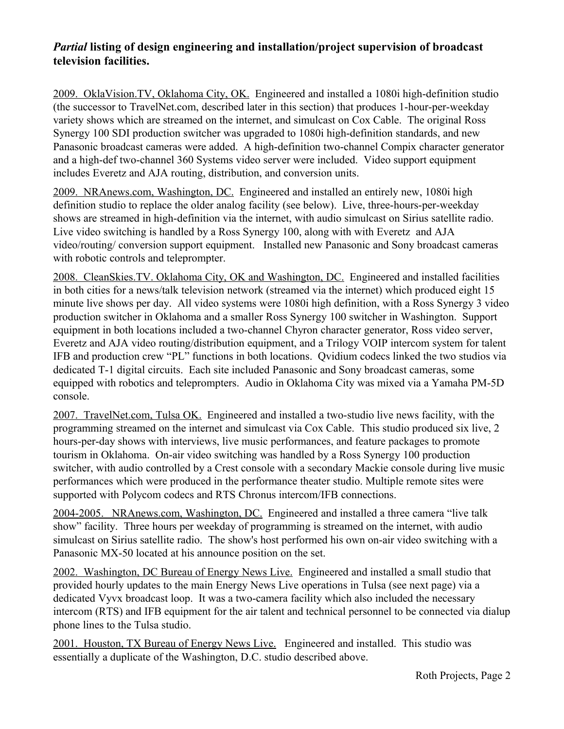## *Partial* **listing of design engineering and installation/project supervision of broadcast television facilities.**

2009. OklaVision.TV, Oklahoma City, OK. Engineered and installed a 1080i high-definition studio (the successor to TravelNet.com, described later in this section) that produces 1-hour-per-weekday variety shows which are streamed on the internet, and simulcast on Cox Cable. The original Ross Synergy 100 SDI production switcher was upgraded to 1080i high-definition standards, and new Panasonic broadcast cameras were added. A high-definition two-channel Compix character generator and a high-def two-channel 360 Systems video server were included. Video support equipment includes Everetz and AJA routing, distribution, and conversion units.

 2009. NRAnews.com, Washington, DC. Engineered and installed an entirely new, 1080i high definition studio to replace the older analog facility (see below). Live, three-hours-per-weekday shows are streamed in high-definition via the internet, with audio simulcast on Sirius satellite radio. Live video switching is handled by a Ross Synergy 100, along with with Everetz and AJA video/routing/ conversion support equipment. Installed new Panasonic and Sony broadcast cameras with robotic controls and teleprompter.

2008. CleanSkies.TV. Oklahoma City, OK and Washington, DC. Engineered and installed facilities in both cities for a news/talk television network (streamed via the internet) which produced eight 15 minute live shows per day. All video systems were 1080i high definition, with a Ross Synergy 3 video production switcher in Oklahoma and a smaller Ross Synergy 100 switcher in Washington. Support equipment in both locations included a two-channel Chyron character generator, Ross video server, Everetz and AJA video routing/distribution equipment, and a Trilogy VOIP intercom system for talent IFB and production crew "PL" functions in both locations. Qvidium codecs linked the two studios via dedicated T-1 digital circuits. Each site included Panasonic and Sony broadcast cameras, some equipped with robotics and teleprompters. Audio in Oklahoma City was mixed via a Yamaha PM-5D console.

2007. TravelNet.com, Tulsa OK. Engineered and installed a two-studio live news facility, with the programming streamed on the internet and simulcast via Cox Cable. This studio produced six live, 2 hours-per-day shows with interviews, live music performances, and feature packages to promote tourism in Oklahoma. On-air video switching was handled by a Ross Synergy 100 production switcher, with audio controlled by a Crest console with a secondary Mackie console during live music performances which were produced in the performance theater studio. Multiple remote sites were supported with Polycom codecs and RTS Chronus intercom/IFB connections.

2004-2005. NRAnews.com, Washington, DC. Engineered and installed a three camera "live talk show" facility. Three hours per weekday of programming is streamed on the internet, with audio simulcast on Sirius satellite radio. The show's host performed his own on-air video switching with a Panasonic MX-50 located at his announce position on the set.

2002. Washington, DC Bureau of Energy News Live. Engineered and installed a small studio that provided hourly updates to the main Energy News Live operations in Tulsa (see next page) via a dedicated Vyvx broadcast loop. It was a two-camera facility which also included the necessary intercom (RTS) and IFB equipment for the air talent and technical personnel to be connected via dialup phone lines to the Tulsa studio.

2001. Houston, TX Bureau of Energy News Live. Engineered and installed. This studio was essentially a duplicate of the Washington, D.C. studio described above.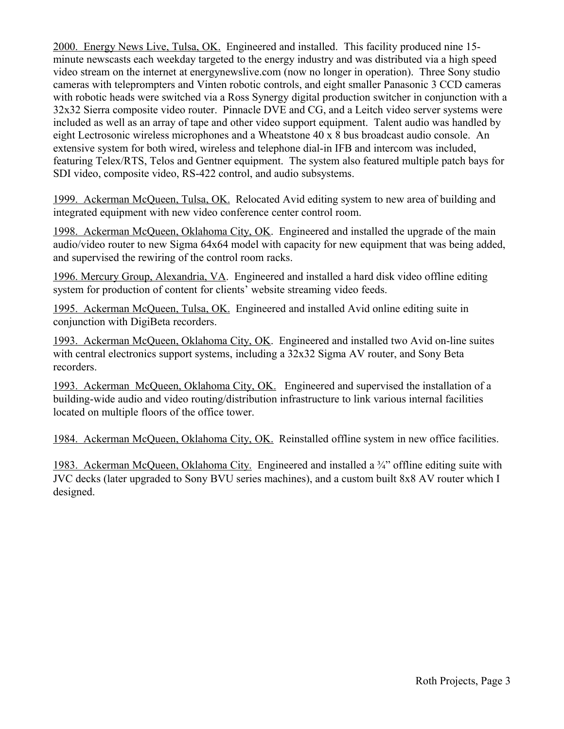2000. Energy News Live, Tulsa, OK. Engineered and installed. This facility produced nine 15 minute newscasts each weekday targeted to the energy industry and was distributed via a high speed video stream on the internet at energynewslive.com (now no longer in operation). Three Sony studio cameras with teleprompters and Vinten robotic controls, and eight smaller Panasonic 3 CCD cameras with robotic heads were switched via a Ross Synergy digital production switcher in conjunction with a 32x32 Sierra composite video router. Pinnacle DVE and CG, and a Leitch video server systems were included as well as an array of tape and other video support equipment. Talent audio was handled by eight Lectrosonic wireless microphones and a Wheatstone 40 x 8 bus broadcast audio console. An extensive system for both wired, wireless and telephone dial-in IFB and intercom was included, featuring Telex/RTS, Telos and Gentner equipment. The system also featured multiple patch bays for SDI video, composite video, RS-422 control, and audio subsystems.

1999. Ackerman McQueen, Tulsa, OK. Relocated Avid editing system to new area of building and integrated equipment with new video conference center control room.

1998. Ackerman McQueen, Oklahoma City, OK. Engineered and installed the upgrade of the main audio/video router to new Sigma 64x64 model with capacity for new equipment that was being added, and supervised the rewiring of the control room racks.

1996. Mercury Group, Alexandria, VA. Engineered and installed a hard disk video offline editing system for production of content for clients' website streaming video feeds.

1995. Ackerman McQueen, Tulsa, OK. Engineered and installed Avid online editing suite in conjunction with DigiBeta recorders.

1993. Ackerman McQueen, Oklahoma City, OK. Engineered and installed two Avid on-line suites with central electronics support systems, including a 32x32 Sigma AV router, and Sony Beta recorders.

1993. Ackerman McQueen, Oklahoma City, OK. Engineered and supervised the installation of a building-wide audio and video routing/distribution infrastructure to link various internal facilities located on multiple floors of the office tower.

1984. Ackerman McQueen, Oklahoma City, OK. Reinstalled offline system in new office facilities.

1983. Ackerman McQueen, Oklahoma City. Engineered and installed a ¾" offline editing suite with JVC decks (later upgraded to Sony BVU series machines), and a custom built 8x8 AV router which I designed.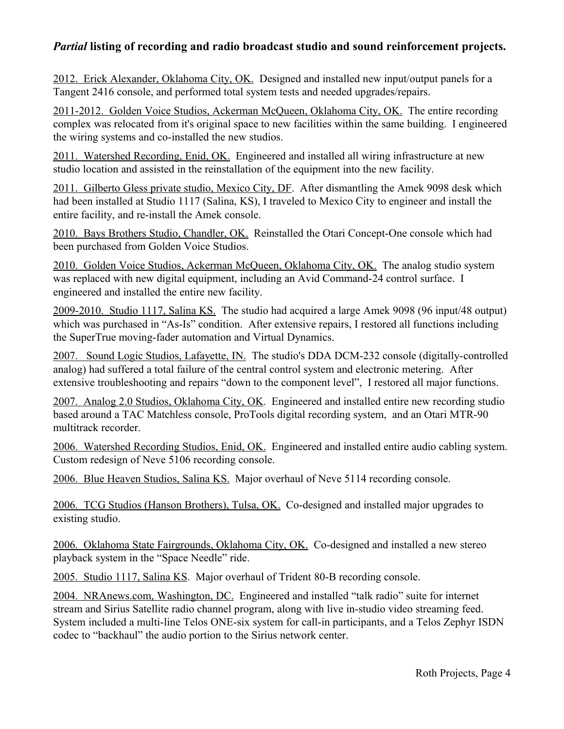## *Partial* **listing of recording and radio broadcast studio and sound reinforcement projects.**

2012. Erick Alexander, Oklahoma City, OK. Designed and installed new input/output panels for a Tangent 2416 console, and performed total system tests and needed upgrades/repairs.

2011-2012. Golden Voice Studios, Ackerman McQueen, Oklahoma City, OK. The entire recording complex was relocated from it's original space to new facilities within the same building. I engineered the wiring systems and co-installed the new studios.

2011. Watershed Recording, Enid, OK. Engineered and installed all wiring infrastructure at new studio location and assisted in the reinstallation of the equipment into the new facility.

2011. Gilberto Gless private studio, Mexico City, DF. After dismantling the Amek 9098 desk which had been installed at Studio 1117 (Salina, KS), I traveled to Mexico City to engineer and install the entire facility, and re-install the Amek console.

2010. Bays Brothers Studio, Chandler, OK. Reinstalled the Otari Concept-One console which had been purchased from Golden Voice Studios.

2010. Golden Voice Studios, Ackerman McQueen, Oklahoma City, OK. The analog studio system was replaced with new digital equipment, including an Avid Command-24 control surface. I engineered and installed the entire new facility.

2009-2010. Studio 1117, Salina KS. The studio had acquired a large Amek 9098 (96 input/48 output) which was purchased in "As-Is" condition. After extensive repairs, I restored all functions including the SuperTrue moving-fader automation and Virtual Dynamics.

2007. Sound Logic Studios, Lafayette, IN. The studio's DDA DCM-232 console (digitally-controlled analog) had suffered a total failure of the central control system and electronic metering. After extensive troubleshooting and repairs "down to the component level", I restored all major functions.

2007. Analog 2.0 Studios, Oklahoma City, OK. Engineered and installed entire new recording studio based around a TAC Matchless console, ProTools digital recording system, and an Otari MTR-90 multitrack recorder.

2006. Watershed Recording Studios, Enid, OK. Engineered and installed entire audio cabling system. Custom redesign of Neve 5106 recording console.

2006. Blue Heaven Studios, Salina KS. Major overhaul of Neve 5114 recording console.

2006. TCG Studios (Hanson Brothers), Tulsa, OK. Co-designed and installed major upgrades to existing studio.

 2006. Oklahoma State Fairgrounds, Oklahoma City, OK. Co-designed and installed a new stereo playback system in the "Space Needle" ride.

2005. Studio 1117, Salina KS. Major overhaul of Trident 80-B recording console.

2004. NRAnews.com, Washington, DC. Engineered and installed "talk radio" suite for internet stream and Sirius Satellite radio channel program, along with live in-studio video streaming feed. System included a multi-line Telos ONE-six system for call-in participants, and a Telos Zephyr ISDN codec to "backhaul" the audio portion to the Sirius network center.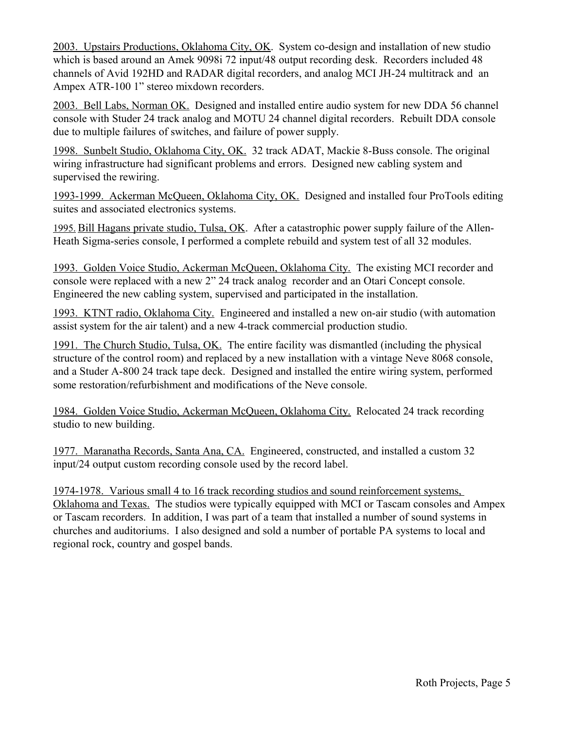2003. Upstairs Productions, Oklahoma City, OK. System co-design and installation of new studio which is based around an Amek 9098i 72 input/48 output recording desk. Recorders included 48 channels of Avid 192HD and RADAR digital recorders, and analog MCI JH-24 multitrack and an Ampex ATR-100 1" stereo mixdown recorders.

2003. Bell Labs, Norman OK. Designed and installed entire audio system for new DDA 56 channel console with Studer 24 track analog and MOTU 24 channel digital recorders. Rebuilt DDA console due to multiple failures of switches, and failure of power supply.

1998. Sunbelt Studio, Oklahoma City, OK. 32 track ADAT, Mackie 8-Buss console. The original wiring infrastructure had significant problems and errors. Designed new cabling system and supervised the rewiring.

1993-1999. Ackerman McQueen, Oklahoma City, OK. Designed and installed four ProTools editing suites and associated electronics systems.

 1995. Bill Hagans private studio, Tulsa, OK. After a catastrophic power supply failure of the Allen-Heath Sigma-series console, I performed a complete rebuild and system test of all 32 modules.

1993. Golden Voice Studio, Ackerman McQueen, Oklahoma City. The existing MCI recorder and console were replaced with a new 2" 24 track analog recorder and an Otari Concept console. Engineered the new cabling system, supervised and participated in the installation.

1993. KTNT radio, Oklahoma City. Engineered and installed a new on-air studio (with automation assist system for the air talent) and a new 4-track commercial production studio.

1991. The Church Studio, Tulsa, OK. The entire facility was dismantled (including the physical structure of the control room) and replaced by a new installation with a vintage Neve 8068 console, and a Studer A-800 24 track tape deck. Designed and installed the entire wiring system, performed some restoration/refurbishment and modifications of the Neve console.

1984. Golden Voice Studio, Ackerman McQueen, Oklahoma City. Relocated 24 track recording studio to new building.

1977. Maranatha Records, Santa Ana, CA. Engineered, constructed, and installed a custom 32 input/24 output custom recording console used by the record label.

1974-1978. Various small 4 to 16 track recording studios and sound reinforcement systems, Oklahoma and Texas. The studios were typically equipped with MCI or Tascam consoles and Ampex or Tascam recorders. In addition, I was part of a team that installed a number of sound systems in churches and auditoriums. I also designed and sold a number of portable PA systems to local and regional rock, country and gospel bands.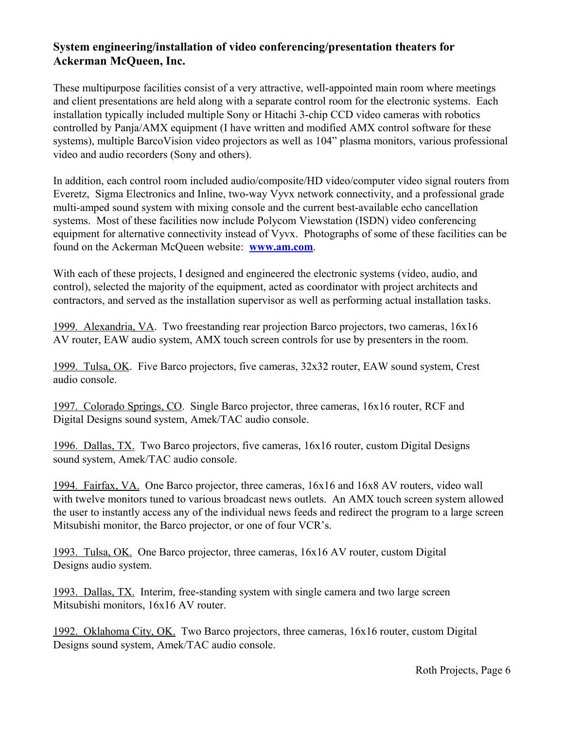## **System engineering/installation of video conferencing/presentation theaters for Ackerman McQueen, Inc.**

These multipurpose facilities consist of a very attractive, well-appointed main room where meetings and client presentations are held along with a separate control room for the electronic systems. Each installation typically included multiple Sony or Hitachi 3-chip CCD video cameras with robotics controlled by Panja/AMX equipment (I have written and modified AMX control software for these systems), multiple BarcoVision video projectors as well as 104" plasma monitors, various professional video and audio recorders (Sony and others).

In addition, each control room included audio/composite/HD video/computer video signal routers from Everetz, Sigma Electronics and Inline, two-way Vyvx network connectivity, and a professional grade multi-amped sound system with mixing console and the current best-available echo cancellation systems. Most of these facilities now include Polycom Viewstation (ISDN) video conferencing equipment for alternative connectivity instead of Vyvx. Photographs of some of these facilities can be found on the Ackerman McQueen website: **[www.am.com](http://www.am.com/)**.

With each of these projects, I designed and engineered the electronic systems (video, audio, and control), selected the majority of the equipment, acted as coordinator with project architects and contractors, and served as the installation supervisor as well as performing actual installation tasks.

1999. Alexandria, VA. Two freestanding rear projection Barco projectors, two cameras, 16x16 AV router, EAW audio system, AMX touch screen controls for use by presenters in the room.

1999. Tulsa, OK. Five Barco projectors, five cameras, 32x32 router, EAW sound system, Crest audio console.

1997. Colorado Springs, CO. Single Barco projector, three cameras, 16x16 router, RCF and Digital Designs sound system, Amek/TAC audio console.

1996. Dallas, TX. Two Barco projectors, five cameras, 16x16 router, custom Digital Designs sound system, Amek/TAC audio console.

1994. Fairfax, VA. One Barco projector, three cameras, 16x16 and 16x8 AV routers, video wall with twelve monitors tuned to various broadcast news outlets. An AMX touch screen system allowed the user to instantly access any of the individual news feeds and redirect the program to a large screen Mitsubishi monitor, the Barco projector, or one of four VCR's.

1993. Tulsa, OK. One Barco projector, three cameras, 16x16 AV router, custom Digital Designs audio system.

1993. Dallas, TX. Interim, free-standing system with single camera and two large screen Mitsubishi monitors, 16x16 AV router.

1992. Oklahoma City, OK. Two Barco projectors, three cameras, 16x16 router, custom Digital Designs sound system, Amek/TAC audio console.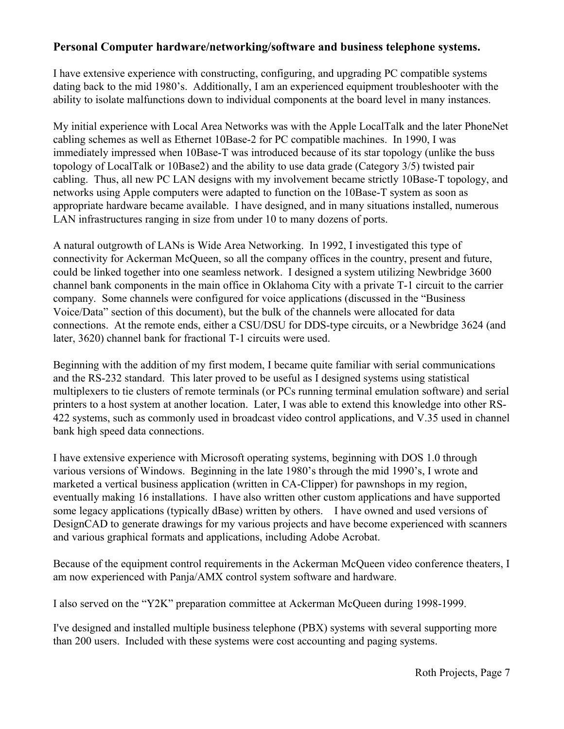### **Personal Computer hardware/networking/software and business telephone systems.**

I have extensive experience with constructing, configuring, and upgrading PC compatible systems dating back to the mid 1980's. Additionally, I am an experienced equipment troubleshooter with the ability to isolate malfunctions down to individual components at the board level in many instances.

My initial experience with Local Area Networks was with the Apple LocalTalk and the later PhoneNet cabling schemes as well as Ethernet 10Base-2 for PC compatible machines. In 1990, I was immediately impressed when 10Base-T was introduced because of its star topology (unlike the buss topology of LocalTalk or 10Base2) and the ability to use data grade (Category 3/5) twisted pair cabling. Thus, all new PC LAN designs with my involvement became strictly 10Base-T topology, and networks using Apple computers were adapted to function on the 10Base-T system as soon as appropriate hardware became available. I have designed, and in many situations installed, numerous LAN infrastructures ranging in size from under 10 to many dozens of ports.

A natural outgrowth of LANs is Wide Area Networking. In 1992, I investigated this type of connectivity for Ackerman McQueen, so all the company offices in the country, present and future, could be linked together into one seamless network. I designed a system utilizing Newbridge 3600 channel bank components in the main office in Oklahoma City with a private T-1 circuit to the carrier company. Some channels were configured for voice applications (discussed in the "Business Voice/Data" section of this document), but the bulk of the channels were allocated for data connections. At the remote ends, either a CSU/DSU for DDS-type circuits, or a Newbridge 3624 (and later, 3620) channel bank for fractional T-1 circuits were used.

Beginning with the addition of my first modem, I became quite familiar with serial communications and the RS-232 standard. This later proved to be useful as I designed systems using statistical multiplexers to tie clusters of remote terminals (or PCs running terminal emulation software) and serial printers to a host system at another location. Later, I was able to extend this knowledge into other RS-422 systems, such as commonly used in broadcast video control applications, and V.35 used in channel bank high speed data connections.

I have extensive experience with Microsoft operating systems, beginning with DOS 1.0 through various versions of Windows. Beginning in the late 1980's through the mid 1990's, I wrote and marketed a vertical business application (written in CA-Clipper) for pawnshops in my region, eventually making 16 installations. I have also written other custom applications and have supported some legacy applications (typically dBase) written by others. I have owned and used versions of DesignCAD to generate drawings for my various projects and have become experienced with scanners and various graphical formats and applications, including Adobe Acrobat.

Because of the equipment control requirements in the Ackerman McQueen video conference theaters, I am now experienced with Panja/AMX control system software and hardware.

I also served on the "Y2K" preparation committee at Ackerman McQueen during 1998-1999.

I've designed and installed multiple business telephone (PBX) systems with several supporting more than 200 users. Included with these systems were cost accounting and paging systems.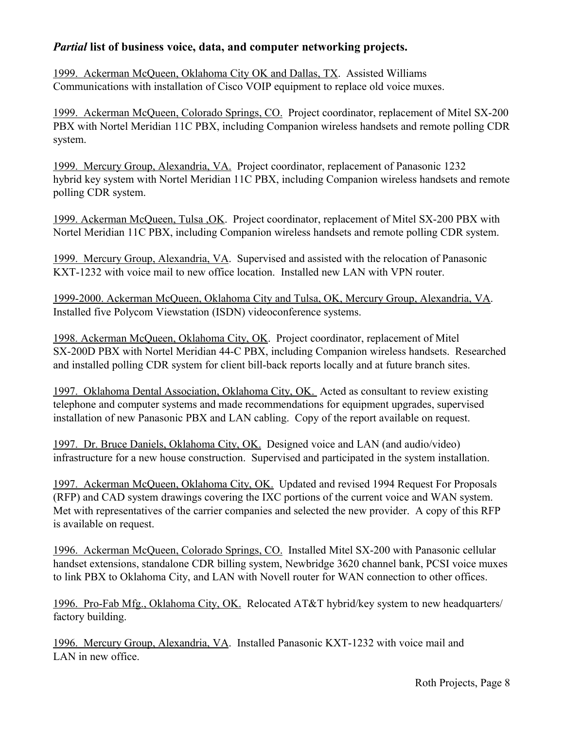## *Partial* **list of business voice, data, and computer networking projects.**

1999. Ackerman McQueen, Oklahoma City OK and Dallas, TX. Assisted Williams Communications with installation of Cisco VOIP equipment to replace old voice muxes.

1999. Ackerman McQueen, Colorado Springs, CO. Project coordinator, replacement of Mitel SX-200 PBX with Nortel Meridian 11C PBX, including Companion wireless handsets and remote polling CDR system.

1999. Mercury Group, Alexandria, VA. Project coordinator, replacement of Panasonic 1232 hybrid key system with Nortel Meridian 11C PBX, including Companion wireless handsets and remote polling CDR system.

1999. Ackerman McQueen, Tulsa ,OK. Project coordinator, replacement of Mitel SX-200 PBX with Nortel Meridian 11C PBX, including Companion wireless handsets and remote polling CDR system.

1999. Mercury Group, Alexandria, VA. Supervised and assisted with the relocation of Panasonic KXT-1232 with voice mail to new office location. Installed new LAN with VPN router.

1999-2000. Ackerman McQueen, Oklahoma City and Tulsa, OK, Mercury Group, Alexandria, VA. Installed five Polycom Viewstation (ISDN) videoconference systems.

1998. Ackerman McQueen, Oklahoma City, OK. Project coordinator, replacement of Mitel SX-200D PBX with Nortel Meridian 44-C PBX, including Companion wireless handsets. Researched and installed polling CDR system for client bill-back reports locally and at future branch sites.

1997. Oklahoma Dental Association, Oklahoma City, OK. Acted as consultant to review existing telephone and computer systems and made recommendations for equipment upgrades, supervised installation of new Panasonic PBX and LAN cabling. Copy of the report available on request.

1997. Dr. Bruce Daniels, Oklahoma City, OK. Designed voice and LAN (and audio/video) infrastructure for a new house construction. Supervised and participated in the system installation.

1997. Ackerman McQueen, Oklahoma City, OK. Updated and revised 1994 Request For Proposals (RFP) and CAD system drawings covering the IXC portions of the current voice and WAN system. Met with representatives of the carrier companies and selected the new provider. A copy of this RFP is available on request.

1996. Ackerman McQueen, Colorado Springs, CO. Installed Mitel SX-200 with Panasonic cellular handset extensions, standalone CDR billing system, Newbridge 3620 channel bank, PCSI voice muxes to link PBX to Oklahoma City, and LAN with Novell router for WAN connection to other offices.

1996. Pro-Fab Mfg., Oklahoma City, OK. Relocated AT&T hybrid/key system to new headquarters/ factory building.

1996. Mercury Group, Alexandria, VA. Installed Panasonic KXT-1232 with voice mail and LAN in new office.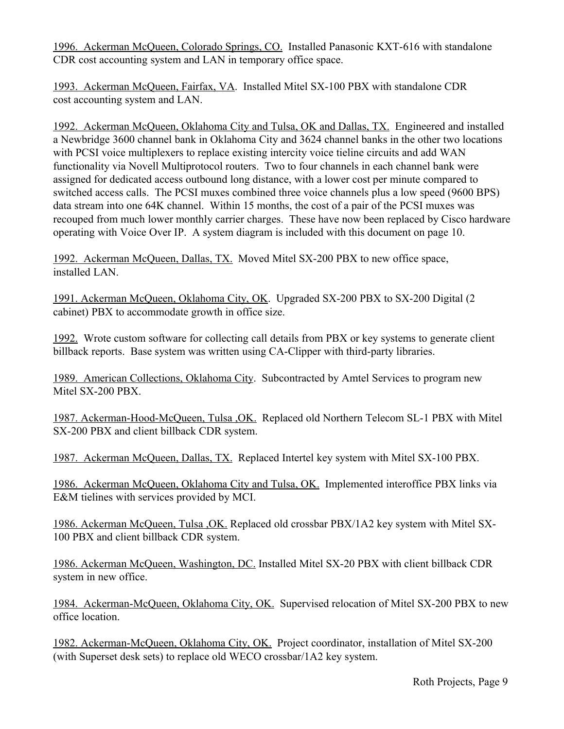1996. Ackerman McQueen, Colorado Springs, CO. Installed Panasonic KXT-616 with standalone CDR cost accounting system and LAN in temporary office space.

1993. Ackerman McQueen, Fairfax, VA. Installed Mitel SX-100 PBX with standalone CDR cost accounting system and LAN.

1992. Ackerman McQueen, Oklahoma City and Tulsa, OK and Dallas, TX. Engineered and installed a Newbridge 3600 channel bank in Oklahoma City and 3624 channel banks in the other two locations with PCSI voice multiplexers to replace existing intercity voice tieline circuits and add WAN functionality via Novell Multiprotocol routers. Two to four channels in each channel bank were assigned for dedicated access outbound long distance, with a lower cost per minute compared to switched access calls. The PCSI muxes combined three voice channels plus a low speed (9600 BPS) data stream into one 64K channel. Within 15 months, the cost of a pair of the PCSI muxes was recouped from much lower monthly carrier charges. These have now been replaced by Cisco hardware operating with Voice Over IP. A system diagram is included with this document on page 10.

1992. Ackerman McQueen, Dallas, TX. Moved Mitel SX-200 PBX to new office space, installed LAN.

1991. Ackerman McQueen, Oklahoma City, OK. Upgraded SX-200 PBX to SX-200 Digital (2 cabinet) PBX to accommodate growth in office size.

1992. Wrote custom software for collecting call details from PBX or key systems to generate client billback reports. Base system was written using CA-Clipper with third-party libraries.

1989. American Collections, Oklahoma City. Subcontracted by Amtel Services to program new Mitel SX-200 PBX.

1987. Ackerman-Hood-McQueen, Tulsa ,OK. Replaced old Northern Telecom SL-1 PBX with Mitel SX-200 PBX and client billback CDR system.

1987. Ackerman McQueen, Dallas, TX. Replaced Intertel key system with Mitel SX-100 PBX.

1986. Ackerman McQueen, Oklahoma City and Tulsa, OK. Implemented interoffice PBX links via E&M tielines with services provided by MCI.

1986. Ackerman McQueen, Tulsa ,OK. Replaced old crossbar PBX/1A2 key system with Mitel SX-100 PBX and client billback CDR system.

1986. Ackerman McQueen, Washington, DC. Installed Mitel SX-20 PBX with client billback CDR system in new office.

1984. Ackerman-McQueen, Oklahoma City, OK. Supervised relocation of Mitel SX-200 PBX to new office location.

1982. Ackerman-McQueen, Oklahoma City, OK. Project coordinator, installation of Mitel SX-200 (with Superset desk sets) to replace old WECO crossbar/1A2 key system.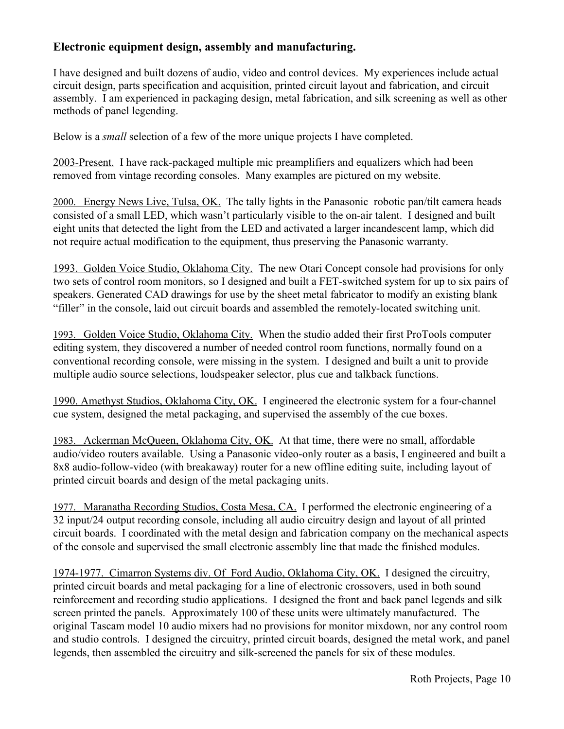## **Electronic equipment design, assembly and manufacturing.**

I have designed and built dozens of audio, video and control devices. My experiences include actual circuit design, parts specification and acquisition, printed circuit layout and fabrication, and circuit assembly. I am experienced in packaging design, metal fabrication, and silk screening as well as other methods of panel legending.

Below is a *small* selection of a few of the more unique projects I have completed.

2003-Present. I have rack-packaged multiple mic preamplifiers and equalizers which had been removed from vintage recording consoles. Many examples are pictured on my website.

 2000. Energy News Live, Tulsa, OK. The tally lights in the Panasonic robotic pan/tilt camera heads consisted of a small LED, which wasn't particularly visible to the on-air talent. I designed and built eight units that detected the light from the LED and activated a larger incandescent lamp, which did not require actual modification to the equipment, thus preserving the Panasonic warranty.

1993. Golden Voice Studio, Oklahoma City. The new Otari Concept console had provisions for only two sets of control room monitors, so I designed and built a FET-switched system for up to six pairs of speakers. Generated CAD drawings for use by the sheet metal fabricator to modify an existing blank "filler" in the console, laid out circuit boards and assembled the remotely-located switching unit.

 1993. Golden Voice Studio, Oklahoma City. When the studio added their first ProTools computer editing system, they discovered a number of needed control room functions, normally found on a conventional recording console, were missing in the system. I designed and built a unit to provide multiple audio source selections, loudspeaker selector, plus cue and talkback functions.

1990. Amethyst Studios, Oklahoma City, OK. I engineered the electronic system for a four-channel cue system, designed the metal packaging, and supervised the assembly of the cue boxes.

 1983. Ackerman McQueen, Oklahoma City, OK. At that time, there were no small, affordable audio/video routers available. Using a Panasonic video-only router as a basis, I engineered and built a 8x8 audio-follow-video (with breakaway) router for a new offline editing suite, including layout of printed circuit boards and design of the metal packaging units.

 1977. Maranatha Recording Studios, Costa Mesa, CA. I performed the electronic engineering of a 32 input/24 output recording console, including all audio circuitry design and layout of all printed circuit boards. I coordinated with the metal design and fabrication company on the mechanical aspects of the console and supervised the small electronic assembly line that made the finished modules.

1974-1977. Cimarron Systems div. Of Ford Audio, Oklahoma City, OK. I designed the circuitry, printed circuit boards and metal packaging for a line of electronic crossovers, used in both sound reinforcement and recording studio applications. I designed the front and back panel legends and silk screen printed the panels. Approximately 100 of these units were ultimately manufactured. The original Tascam model 10 audio mixers had no provisions for monitor mixdown, nor any control room and studio controls. I designed the circuitry, printed circuit boards, designed the metal work, and panel legends, then assembled the circuitry and silk-screened the panels for six of these modules.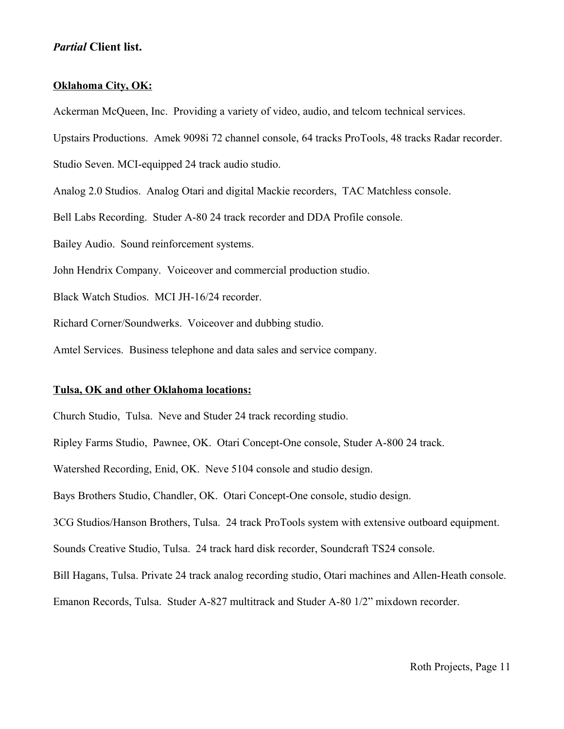#### *Partial* **Client list.**

#### **Oklahoma City, OK:**

Ackerman McQueen, Inc. Providing a variety of video, audio, and telcom technical services. Upstairs Productions. Amek 9098i 72 channel console, 64 tracks ProTools, 48 tracks Radar recorder. Studio Seven. MCI-equipped 24 track audio studio. Analog 2.0 Studios. Analog Otari and digital Mackie recorders, TAC Matchless console. Bell Labs Recording. Studer A-80 24 track recorder and DDA Profile console. Bailey Audio. Sound reinforcement systems. John Hendrix Company. Voiceover and commercial production studio. Black Watch Studios. MCI JH-16/24 recorder. Richard Corner/Soundwerks. Voiceover and dubbing studio. Amtel Services. Business telephone and data sales and service company.

#### **Tulsa, OK and other Oklahoma locations:**

Church Studio, Tulsa. Neve and Studer 24 track recording studio.

Ripley Farms Studio, Pawnee, OK. Otari Concept-One console, Studer A-800 24 track.

Watershed Recording, Enid, OK. Neve 5104 console and studio design.

Bays Brothers Studio, Chandler, OK. Otari Concept-One console, studio design.

3CG Studios/Hanson Brothers, Tulsa. 24 track ProTools system with extensive outboard equipment.

Sounds Creative Studio, Tulsa. 24 track hard disk recorder, Soundcraft TS24 console.

Bill Hagans, Tulsa. Private 24 track analog recording studio, Otari machines and Allen-Heath console.

Emanon Records, Tulsa. Studer A-827 multitrack and Studer A-80 1/2" mixdown recorder.